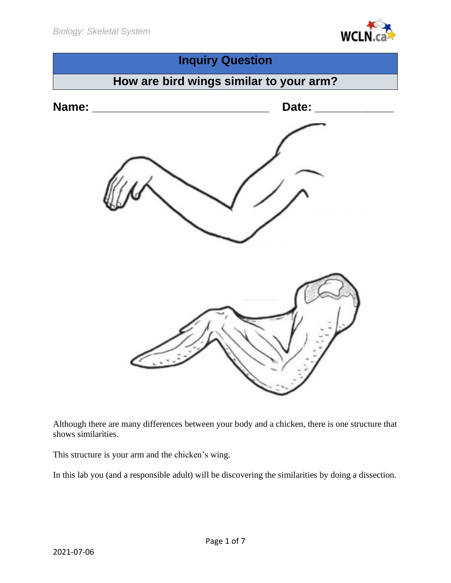



Although there are many differences between your body and a chicken, there is one structure that shows similarities.

This structure is your arm and the chicken's wing.

In this lab you (and a responsible adult) will be discovering the similarities by doing a dissection.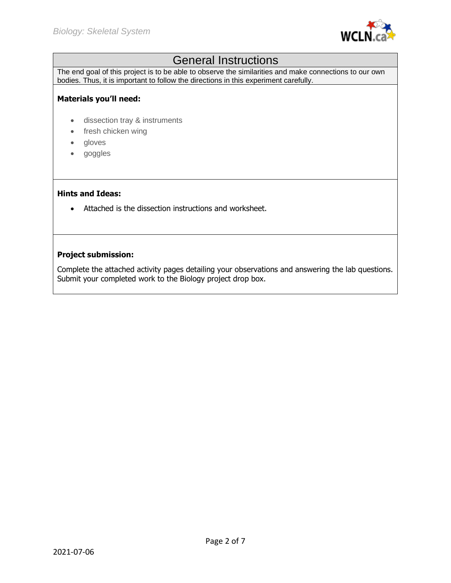

# General Instructions

The end goal of this project is to be able to observe the similarities and make connections to our own bodies. Thus, it is important to follow the directions in this experiment carefully.

#### **Materials you'll need:**

- dissection tray & instruments
- fresh chicken wing
- gloves
- goggles

#### **Hints and Ideas:**

• Attached is the dissection instructions and worksheet.

## **Project submission:**

Complete the attached activity pages detailing your observations and answering the lab questions. Submit your completed work to the Biology project drop box.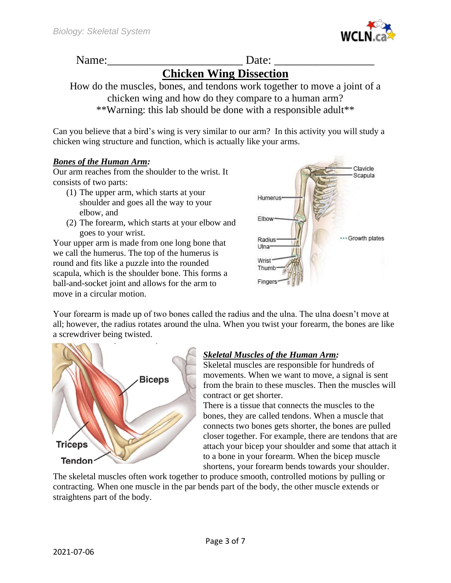

# Name:\_\_\_\_\_\_\_\_\_\_\_\_\_\_\_\_\_\_\_\_\_\_\_ Date: \_\_\_\_\_\_\_\_\_\_\_\_\_\_\_\_\_

# **Chicken Wing Dissection**

How do the muscles, bones, and tendons work together to move a joint of a chicken wing and how do they compare to a human arm? \*\*Warning: this lab should be done with a responsible adult\*\*

Can you believe that a bird's wing is very similar to our arm? In this activity you will study a chicken wing structure and function, which is actually like your arms.

### *Bones of the Human Arm:*

Our arm reaches from the shoulder to the wrist. It consists of two parts:

- (1) The upper arm, which starts at your shoulder and goes all the way to your elbow, and
- (2) The forearm, which starts at your elbow and goes to your wrist.

Your upper arm is made from one long bone that we call the humerus. The top of the humerus is round and fits like a puzzle into the rounded scapula, which is the shoulder bone. This forms a ball-and-socket joint and allows for the arm to move in a circular motion.



Your forearm is made up of two bones called the radius and the ulna. The ulna doesn't move at all; however, the radius rotates around the ulna. When you twist your forearm, the bones are like a screwdriver being twisted.



## *Skeletal Muscles of the Human Arm:*

Skeletal muscles are responsible for hundreds of movements. When we want to move, a signal is sent from the brain to these muscles. Then the muscles will contract or get shorter.

There is a tissue that connects the muscles to the bones, they are called tendons. When a muscle that connects two bones gets shorter, the bones are pulled closer together. For example, there are tendons that are attach your bicep your shoulder and some that attach it to a bone in your forearm. When the bicep muscle shortens, your forearm bends towards your shoulder.

The skeletal muscles often work together to produce smooth, controlled motions by pulling or contracting. When one muscle in the par bends part of the body, the other muscle extends or straightens part of the body.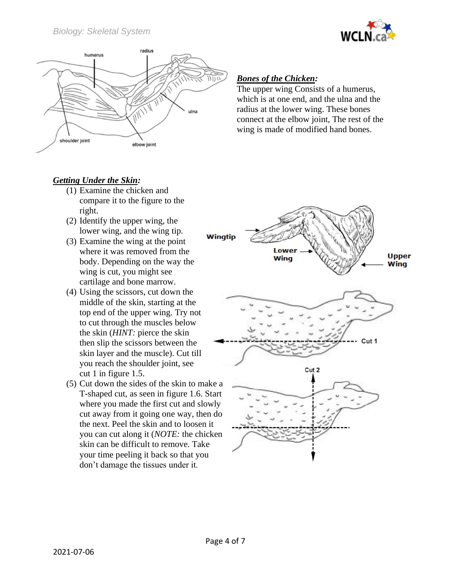



# *Getting Under the Skin:*

- (1) Examine the chicken and compare it to the figure to the right.
- (2) Identify the upper wing, the lower wing, and the wing tip.
- (3) Examine the wing at the point where it was removed from the body. Depending on the way the wing is cut, you might see cartilage and bone marrow.
- (4) Using the scissors, cut down the middle of the skin, starting at the top end of the upper wing. Try not to cut through the muscles below the skin (*HINT:* pierce the skin then slip the scissors between the skin layer and the muscle). Cut till you reach the shoulder joint, see cut 1 in figure 1.5.
- (5) Cut down the sides of the skin to make a T-shaped cut, as seen in figure 1.6. Start where you made the first cut and slowly cut away from it going one way, then do the next. Peel the skin and to loosen it you can cut along it (*NOTE:* the chicken skin can be difficult to remove. Take your time peeling it back so that you don't damage the tissues under it.

## *Bones of the Chicken:*

The upper wing Consists of a humerus, which is at one end, and the ulna and the radius at the lower wing. These bones connect at the elbow joint, The rest of the wing is made of modified hand bones.

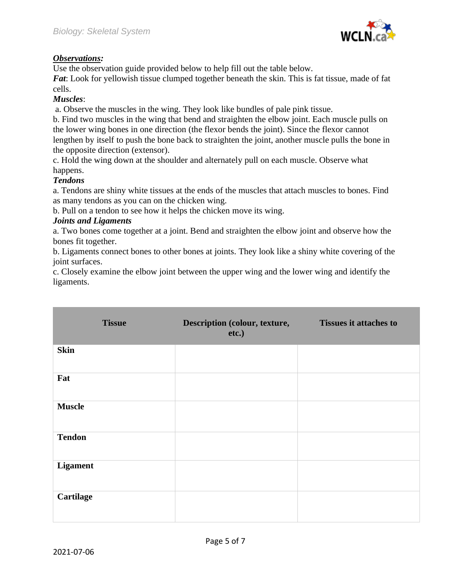

## *Observations:*

Use the observation guide provided below to help fill out the table below.

*Fat*: Look for yellowish tissue clumped together beneath the skin. This is fat tissue, made of fat cells.

### *Muscles*:

a. Observe the muscles in the wing. They look like bundles of pale pink tissue.

b. Find two muscles in the wing that bend and straighten the elbow joint. Each muscle pulls on the lower wing bones in one direction (the flexor bends the joint). Since the flexor cannot lengthen by itself to push the bone back to straighten the joint, another muscle pulls the bone in the opposite direction (extensor).

c. Hold the wing down at the shoulder and alternately pull on each muscle. Observe what happens.

### *Tendons*

a. Tendons are shiny white tissues at the ends of the muscles that attach muscles to bones. Find as many tendons as you can on the chicken wing.

b. Pull on a tendon to see how it helps the chicken move its wing.

### *Joints and Ligaments*

a. Two bones come together at a joint. Bend and straighten the elbow joint and observe how the bones fit together.

b. Ligaments connect bones to other bones at joints. They look like a shiny white covering of the joint surfaces.

c. Closely examine the elbow joint between the upper wing and the lower wing and identify the ligaments.

| <b>Tissue</b>    | Description (colour, texture,<br>etc.) | <b>Tissues it attaches to</b> |
|------------------|----------------------------------------|-------------------------------|
| <b>Skin</b>      |                                        |                               |
| Fat              |                                        |                               |
| <b>Muscle</b>    |                                        |                               |
| <b>Tendon</b>    |                                        |                               |
| <b>Ligament</b>  |                                        |                               |
| <b>Cartilage</b> |                                        |                               |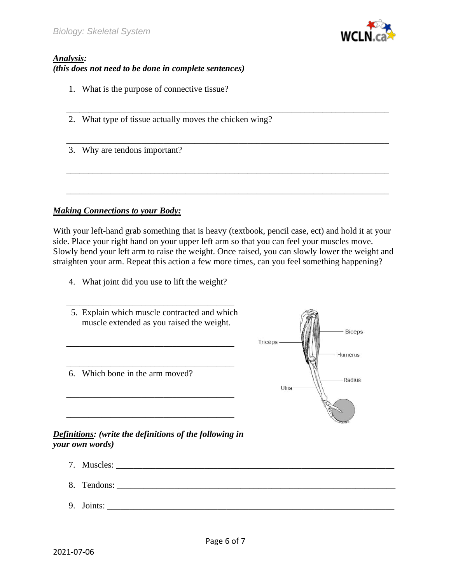

## *Analysis: (this does not need to be done in complete sentences)*

- 1. What is the purpose of connective tissue?
- 2. What type of tissue actually moves the chicken wing?
- 3. Why are tendons important?

#### *Making Connections to your Body:*

With your left-hand grab something that is heavy (textbook, pencil case, ect) and hold it at your side. Place your right hand on your upper left arm so that you can feel your muscles move. Slowly bend your left arm to raise the weight. Once raised, you can slowly lower the weight and straighten your arm. Repeat this action a few more times, can you feel something happening?

\_\_\_\_\_\_\_\_\_\_\_\_\_\_\_\_\_\_\_\_\_\_\_\_\_\_\_\_\_\_\_\_\_\_\_\_\_\_\_\_\_\_\_\_\_\_\_\_\_\_\_\_\_\_\_\_\_\_\_\_\_\_\_\_\_\_\_\_\_\_\_\_\_

\_\_\_\_\_\_\_\_\_\_\_\_\_\_\_\_\_\_\_\_\_\_\_\_\_\_\_\_\_\_\_\_\_\_\_\_\_\_\_\_\_\_\_\_\_\_\_\_\_\_\_\_\_\_\_\_\_\_\_\_\_\_\_\_\_\_\_\_\_\_\_\_\_

\_\_\_\_\_\_\_\_\_\_\_\_\_\_\_\_\_\_\_\_\_\_\_\_\_\_\_\_\_\_\_\_\_\_\_\_\_\_\_\_\_\_\_\_\_\_\_\_\_\_\_\_\_\_\_\_\_\_\_\_\_\_\_\_\_\_\_\_\_\_\_\_\_

\_\_\_\_\_\_\_\_\_\_\_\_\_\_\_\_\_\_\_\_\_\_\_\_\_\_\_\_\_\_\_\_\_\_\_\_\_\_\_\_\_\_\_\_\_\_\_\_\_\_\_\_\_\_\_\_\_\_\_\_\_\_\_\_\_\_\_\_\_\_\_\_\_

4. What joint did you use to lift the weight?



## *your own words)*

- 7. Muscles: 8. Tendons:
- 9. Joints: